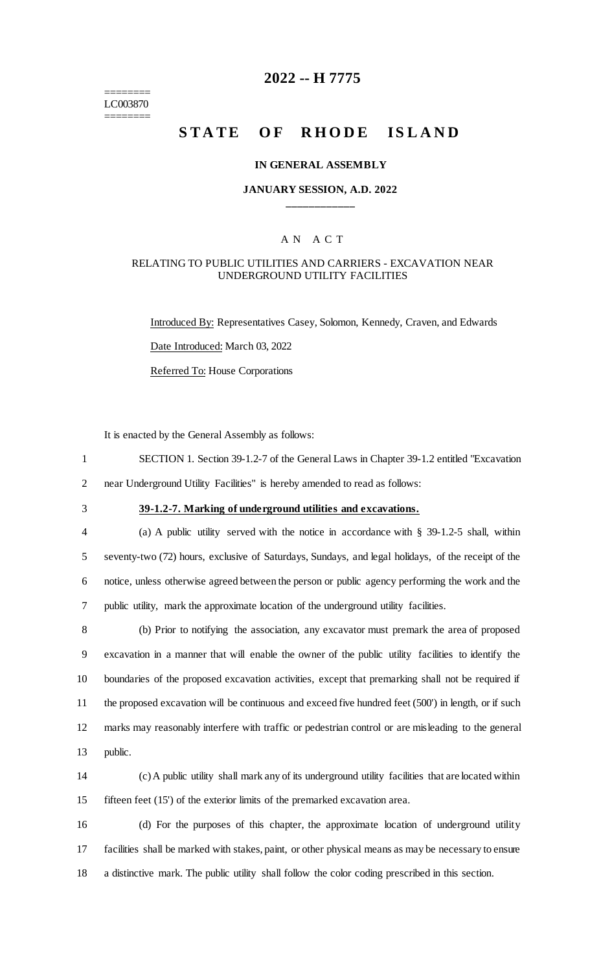======== LC003870 ========

## **2022 -- H 7775**

# **STATE OF RHODE ISLAND**

#### **IN GENERAL ASSEMBLY**

#### **JANUARY SESSION, A.D. 2022 \_\_\_\_\_\_\_\_\_\_\_\_**

#### A N A C T

#### RELATING TO PUBLIC UTILITIES AND CARRIERS - EXCAVATION NEAR UNDERGROUND UTILITY FACILITIES

Introduced By: Representatives Casey, Solomon, Kennedy, Craven, and Edwards Date Introduced: March 03, 2022 Referred To: House Corporations

It is enacted by the General Assembly as follows:

- 1 SECTION 1. Section 39-1.2-7 of the General Laws in Chapter 39-1.2 entitled "Excavation 2 near Underground Utility Facilities" is hereby amended to read as follows:
- 

## 3 **39-1.2-7. Marking of underground utilities and excavations.**

 (a) A public utility served with the notice in accordance with § 39-1.2-5 shall, within seventy-two (72) hours, exclusive of Saturdays, Sundays, and legal holidays, of the receipt of the notice, unless otherwise agreed between the person or public agency performing the work and the public utility, mark the approximate location of the underground utility facilities.

 (b) Prior to notifying the association, any excavator must premark the area of proposed excavation in a manner that will enable the owner of the public utility facilities to identify the boundaries of the proposed excavation activities, except that premarking shall not be required if the proposed excavation will be continuous and exceed five hundred feet (500') in length, or if such marks may reasonably interfere with traffic or pedestrian control or are misleading to the general 13 public.

14 (c) A public utility shall mark any of its underground utility facilities that are located within 15 fifteen feet (15') of the exterior limits of the premarked excavation area.

16 (d) For the purposes of this chapter, the approximate location of underground utility 17 facilities shall be marked with stakes, paint, or other physical means as may be necessary to ensure 18 a distinctive mark. The public utility shall follow the color coding prescribed in this section.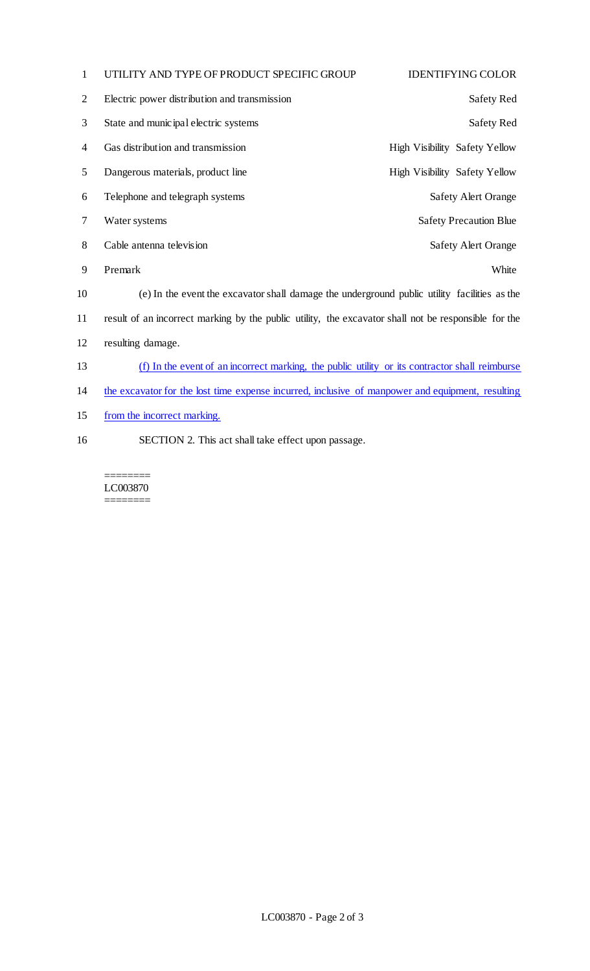| 1              | UTILITY AND TYPE OF PRODUCT SPECIFIC GROUP                                                           | <b>IDENTIFYING COLOR</b>             |
|----------------|------------------------------------------------------------------------------------------------------|--------------------------------------|
| $\overline{2}$ | Electric power distribution and transmission                                                         | Safety Red                           |
| 3              | State and municipal electric systems                                                                 | Safety Red                           |
| 4              | Gas distribution and transmission                                                                    | <b>High Visibility Safety Yellow</b> |
| 5              | Dangerous materials, product line                                                                    | High Visibility Safety Yellow        |
| 6              | Telephone and telegraph systems                                                                      | <b>Safety Alert Orange</b>           |
| 7              | Water systems                                                                                        | <b>Safety Precaution Blue</b>        |
| 8              | Cable antenna television                                                                             | <b>Safety Alert Orange</b>           |
| 9              | Premark                                                                                              | White                                |
| 10             | (e) In the event the excavator shall damage the underground public utility facilities as the         |                                      |
| 11             | result of an incorrect marking by the public utility, the excavator shall not be responsible for the |                                      |
| 12             | resulting damage.                                                                                    |                                      |
| 13             | (f) In the event of an incorrect marking, the public utility or its contractor shall reimburse       |                                      |
| 14             | the excavator for the lost time expense incurred, inclusive of manpower and equipment, resulting     |                                      |
| 15             | from the incorrect marking.                                                                          |                                      |

SECTION 2. This act shall take effect upon passage.

======== LC003870  $=$